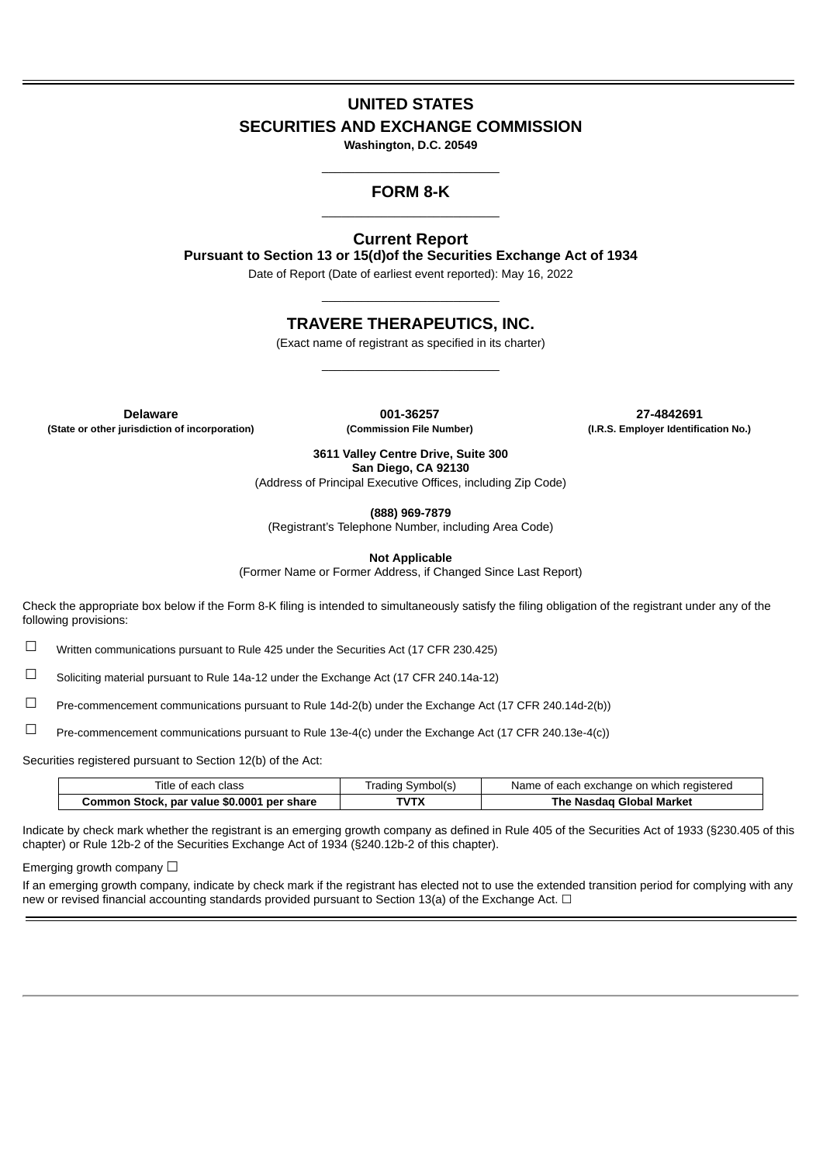# **UNITED STATES SECURITIES AND EXCHANGE COMMISSION**

**Washington, D.C. 20549** \_\_\_\_\_\_\_\_\_\_\_\_\_\_\_\_\_\_\_\_\_\_\_\_\_\_\_

# **FORM 8-K** \_\_\_\_\_\_\_\_\_\_\_\_\_\_\_\_\_\_\_\_\_\_\_\_\_\_\_

# **Current Report**

**Pursuant to Section 13 or 15(d)of the Securities Exchange Act of 1934**

Date of Report (Date of earliest event reported): May 16, 2022 \_\_\_\_\_\_\_\_\_\_\_\_\_\_\_\_\_\_\_\_\_\_\_\_\_\_\_

# **TRAVERE THERAPEUTICS, INC.**

(Exact name of registrant as specified in its charter) \_\_\_\_\_\_\_\_\_\_\_\_\_\_\_\_\_\_\_\_\_\_\_\_\_\_\_

**Delaware 001-36257 27-4842691 (State or other jurisdiction of incorporation) (Commission File Number) (I.R.S. Employer Identification No.)**

**3611 Valley Centre Drive, Suite 300 San Diego, CA 92130**

(Address of Principal Executive Offices, including Zip Code)

**(888) 969-7879**

(Registrant's Telephone Number, including Area Code)

**Not Applicable**

(Former Name or Former Address, if Changed Since Last Report)

Check the appropriate box below if the Form 8-K filing is intended to simultaneously satisfy the filing obligation of the registrant under any of the following provisions:

☐ Written communications pursuant to Rule 425 under the Securities Act (17 CFR 230.425)

☐ Soliciting material pursuant to Rule 14a-12 under the Exchange Act (17 CFR 240.14a-12)

☐ Pre-commencement communications pursuant to Rule 14d-2(b) under the Exchange Act (17 CFR 240.14d-2(b))

☐ Pre-commencement communications pursuant to Rule 13e-4(c) under the Exchange Act (17 CFR 240.13e-4(c))

Securities registered pursuant to Section 12(b) of the Act:

| Title of each class                        | Trading Symbol(s) | Name of each exchange on which registered |
|--------------------------------------------|-------------------|-------------------------------------------|
| Common Stock, par value \$0.0001 per share | TVTX              | The Nasdag Global Market                  |

Indicate by check mark whether the registrant is an emerging growth company as defined in Rule 405 of the Securities Act of 1933 (§230.405 of this chapter) or Rule 12b-2 of the Securities Exchange Act of 1934 (§240.12b-2 of this chapter).

Emerging growth company  $\Box$ 

If an emerging growth company, indicate by check mark if the registrant has elected not to use the extended transition period for complying with any new or revised financial accounting standards provided pursuant to Section 13(a) of the Exchange Act. □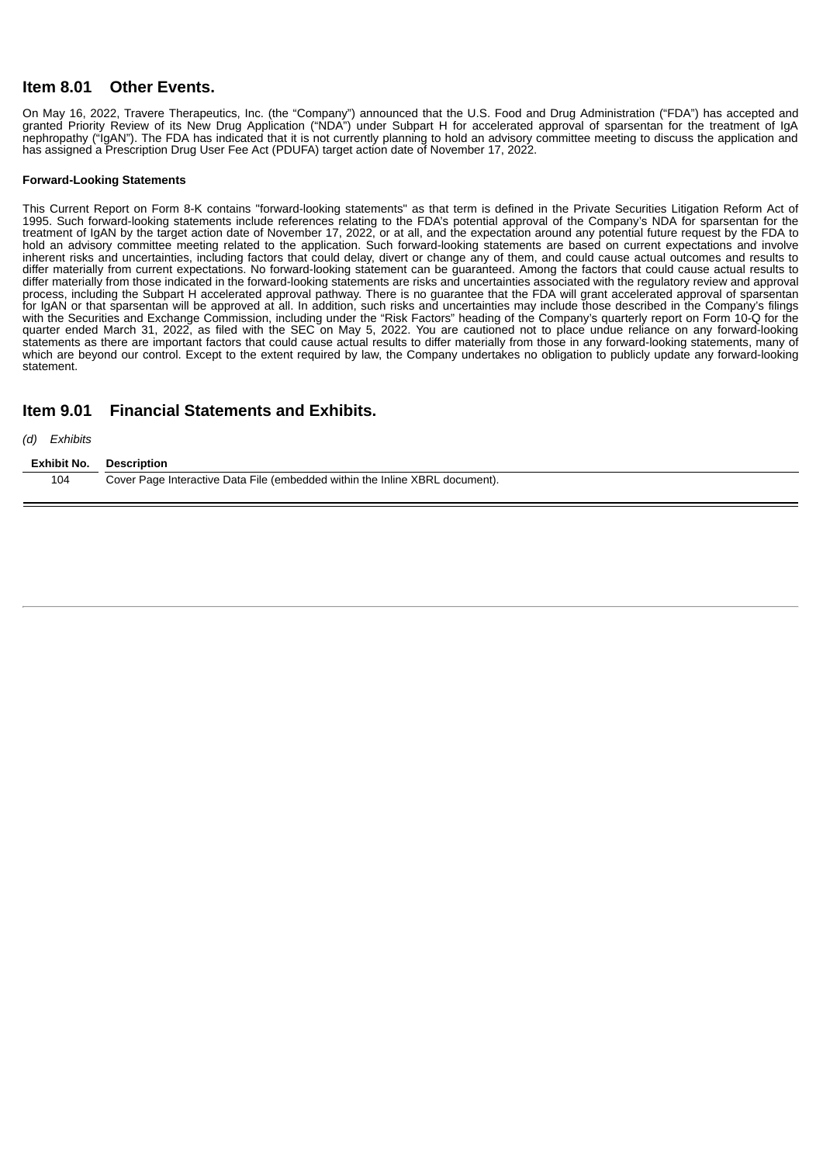# **Item 8.01 Other Events.**

On May 16, 2022, Travere Therapeutics, Inc. (the "Company") announced that the U.S. Food and Drug Administration ("FDA") has accepted and granted Priority Review of its New Drug Application ("NDA") under Subpart H for accelerated approval of sparsentan for the treatment of IgA nephropathy ("IgAN"). The FDA has indicated that it is not currently planning to hold an advisory committee meeting to discuss the application and has assigned a Prescription Drug User Fee Act (PDUFA) target action date of November 17, 2022.

#### **Forward-Looking Statements**

This Current Report on Form 8-K contains "forward-looking statements" as that term is defined in the Private Securities Litigation Reform Act of 1995. Such forward-looking statements include references relating to the FDA's potential approval of the Company's NDA for sparsentan for the treatment of IgAN by the target action date of November 17, 2022, or at all, and the expectation around any potential future request by the FDA to hold an advisory committee meeting related to the application. Such forward-looking statements are based on current expectations and involve inherent risks and uncertainties, including factors that could delay, divert or change any of them, and could cause actual outcomes and results to differ materially from current expectations. No forward-looking statement can be guaranteed. Among the factors that could cause actual results to differ materially from those indicated in the forward-looking statements are risks and uncertainties associated with the regulatory review and approval process, including the Subpart H accelerated approval pathway. There is no guarantee that the FDA will grant accelerated approval of sparsentan for IgAN or that sparsentan will be approved at all. In addition, such risks and uncertainties may include those described in the Company's filings with the Securities and Exchange Commission, including under the "Risk Factors" heading of the Company's quarterly report on Form 10-Q for the quarter ended March 31, 2022, as filed with the SEC on May 5, 2022. You are cautioned not to place undue reliance on any forward-looking statements as there are important factors that could cause actual results to differ materially from those in any forward-looking statements, many of which are beyond our control. Except to the extent required by law, the Company undertakes no obligation to publicly update any forward-looking statement.

# **Item 9.01 Financial Statements and Exhibits.**

#### *(d) Exhibits*

### **Exhibit No. Description**

104 Cover Page Interactive Data File (embedded within the Inline XBRL document).